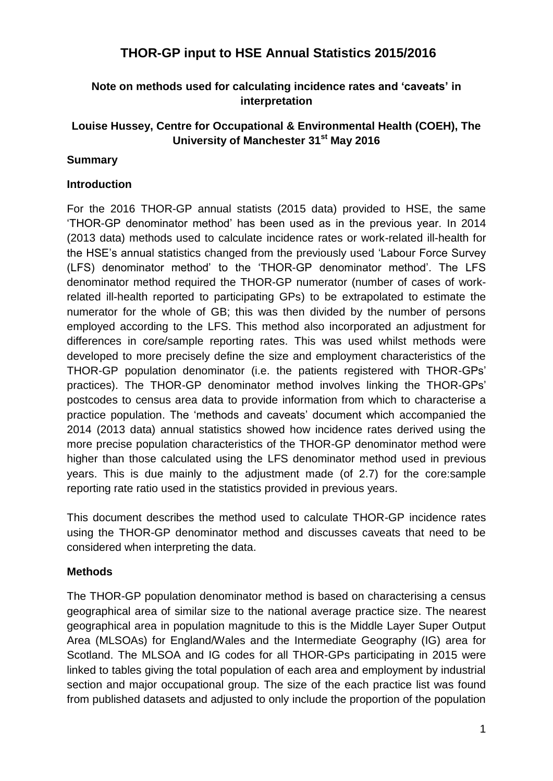# **THOR-GP input to HSE Annual Statistics 2015/2016**

# **Note on methods used for calculating incidence rates and 'caveats' in interpretation**

# **Louise Hussey, Centre for Occupational & Environmental Health (COEH), The University of Manchester 31st May 2016**

### **Summary**

### **Introduction**

For the 2016 THOR-GP annual statists (2015 data) provided to HSE, the same 'THOR-GP denominator method' has been used as in the previous year. In 2014 (2013 data) methods used to calculate incidence rates or work-related ill-health for the HSE's annual statistics changed from the previously used 'Labour Force Survey (LFS) denominator method' to the 'THOR-GP denominator method'. The LFS denominator method required the THOR-GP numerator (number of cases of workrelated ill-health reported to participating GPs) to be extrapolated to estimate the numerator for the whole of GB; this was then divided by the number of persons employed according to the LFS. This method also incorporated an adjustment for differences in core/sample reporting rates. This was used whilst methods were developed to more precisely define the size and employment characteristics of the THOR-GP population denominator (i.e. the patients registered with THOR-GPs' practices). The THOR-GP denominator method involves linking the THOR-GPs' postcodes to census area data to provide information from which to characterise a practice population. The 'methods and caveats' document which accompanied the 2014 (2013 data) annual statistics showed how incidence rates derived using the more precise population characteristics of the THOR-GP denominator method were higher than those calculated using the LFS denominator method used in previous years. This is due mainly to the adjustment made (of 2.7) for the core:sample reporting rate ratio used in the statistics provided in previous years.

This document describes the method used to calculate THOR-GP incidence rates using the THOR-GP denominator method and discusses caveats that need to be considered when interpreting the data.

### **Methods**

The THOR-GP population denominator method is based on characterising a census geographical area of similar size to the national average practice size. The nearest geographical area in population magnitude to this is the Middle Layer Super Output Area (MLSOAs) for England/Wales and the Intermediate Geography (IG) area for Scotland. The MLSOA and IG codes for all THOR-GPs participating in 2015 were linked to tables giving the total population of each area and employment by industrial section and major occupational group. The size of the each practice list was found from published datasets and adjusted to only include the proportion of the population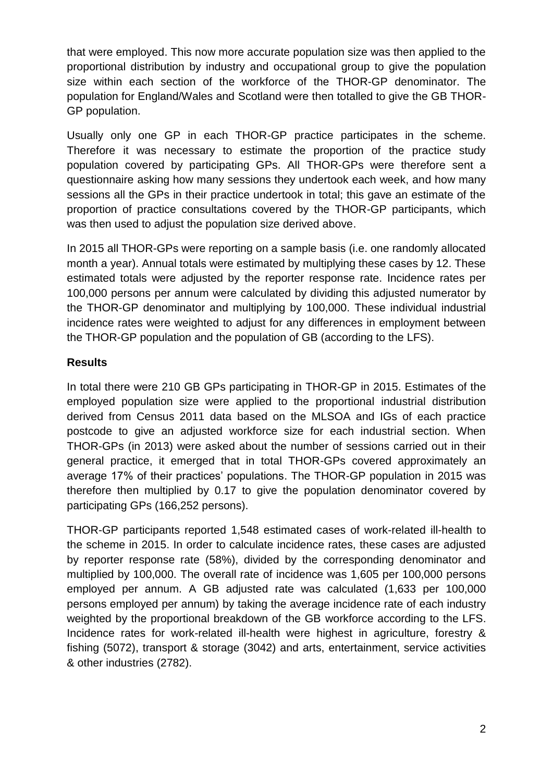that were employed. This now more accurate population size was then applied to the proportional distribution by industry and occupational group to give the population size within each section of the workforce of the THOR-GP denominator. The population for England/Wales and Scotland were then totalled to give the GB THOR-GP population.

Usually only one GP in each THOR-GP practice participates in the scheme. Therefore it was necessary to estimate the proportion of the practice study population covered by participating GPs. All THOR-GPs were therefore sent a questionnaire asking how many sessions they undertook each week, and how many sessions all the GPs in their practice undertook in total; this gave an estimate of the proportion of practice consultations covered by the THOR-GP participants, which was then used to adjust the population size derived above.

In 2015 all THOR-GPs were reporting on a sample basis (i.e. one randomly allocated month a year). Annual totals were estimated by multiplying these cases by 12. These estimated totals were adjusted by the reporter response rate. Incidence rates per 100,000 persons per annum were calculated by dividing this adjusted numerator by the THOR-GP denominator and multiplying by 100,000. These individual industrial incidence rates were weighted to adjust for any differences in employment between the THOR-GP population and the population of GB (according to the LFS).

# **Results**

In total there were 210 GB GPs participating in THOR-GP in 2015. Estimates of the employed population size were applied to the proportional industrial distribution derived from Census 2011 data based on the MLSOA and IGs of each practice postcode to give an adjusted workforce size for each industrial section. When THOR-GPs (in 2013) were asked about the number of sessions carried out in their general practice, it emerged that in total THOR-GPs covered approximately an average 17% of their practices' populations. The THOR-GP population in 2015 was therefore then multiplied by 0.17 to give the population denominator covered by participating GPs (166,252 persons).

THOR-GP participants reported 1,548 estimated cases of work-related ill-health to the scheme in 2015. In order to calculate incidence rates, these cases are adjusted by reporter response rate (58%), divided by the corresponding denominator and multiplied by 100,000. The overall rate of incidence was 1,605 per 100,000 persons employed per annum. A GB adjusted rate was calculated (1,633 per 100,000 persons employed per annum) by taking the average incidence rate of each industry weighted by the proportional breakdown of the GB workforce according to the LFS. Incidence rates for work-related ill-health were highest in agriculture, forestry & fishing (5072), transport & storage (3042) and arts, entertainment, service activities & other industries (2782).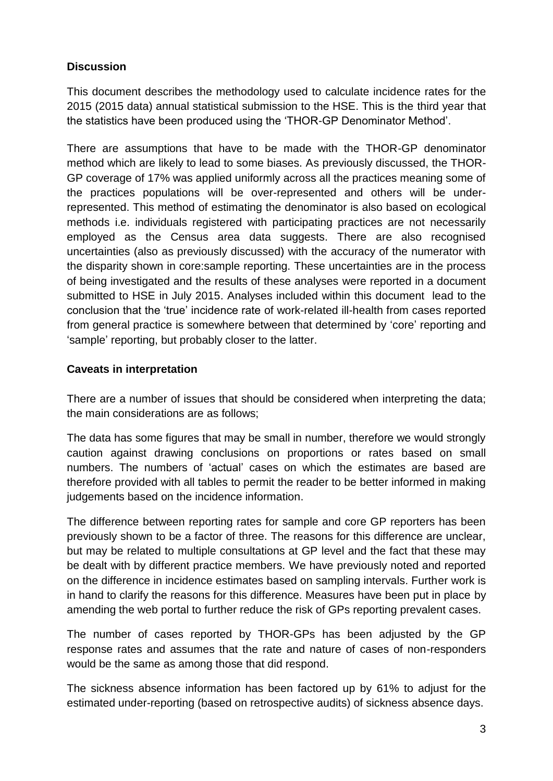# **Discussion**

This document describes the methodology used to calculate incidence rates for the 2015 (2015 data) annual statistical submission to the HSE. This is the third year that the statistics have been produced using the 'THOR-GP Denominator Method'.

There are assumptions that have to be made with the THOR-GP denominator method which are likely to lead to some biases. As previously discussed, the THOR-GP coverage of 17% was applied uniformly across all the practices meaning some of the practices populations will be over-represented and others will be underrepresented. This method of estimating the denominator is also based on ecological methods i.e. individuals registered with participating practices are not necessarily employed as the Census area data suggests. There are also recognised uncertainties (also as previously discussed) with the accuracy of the numerator with the disparity shown in core:sample reporting. These uncertainties are in the process of being investigated and the results of these analyses were reported in a document submitted to HSE in July 2015. Analyses included within this document lead to the conclusion that the 'true' incidence rate of work-related ill-health from cases reported from general practice is somewhere between that determined by 'core' reporting and 'sample' reporting, but probably closer to the latter.

# **Caveats in interpretation**

There are a number of issues that should be considered when interpreting the data; the main considerations are as follows;

The data has some figures that may be small in number, therefore we would strongly caution against drawing conclusions on proportions or rates based on small numbers. The numbers of 'actual' cases on which the estimates are based are therefore provided with all tables to permit the reader to be better informed in making judgements based on the incidence information.

The difference between reporting rates for sample and core GP reporters has been previously shown to be a factor of three. The reasons for this difference are unclear, but may be related to multiple consultations at GP level and the fact that these may be dealt with by different practice members. We have previously noted and reported on the difference in incidence estimates based on sampling intervals. Further work is in hand to clarify the reasons for this difference. Measures have been put in place by amending the web portal to further reduce the risk of GPs reporting prevalent cases.

The number of cases reported by THOR-GPs has been adjusted by the GP response rates and assumes that the rate and nature of cases of non-responders would be the same as among those that did respond.

The sickness absence information has been factored up by 61% to adjust for the estimated under-reporting (based on retrospective audits) of sickness absence days.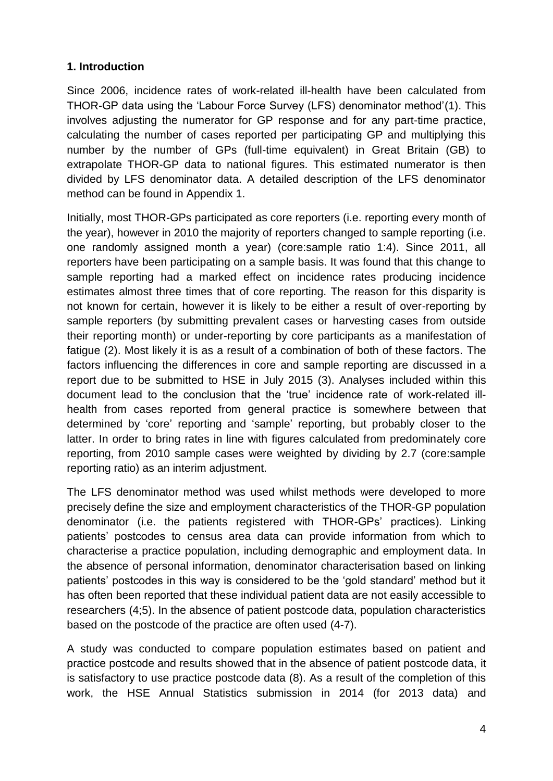# **1. Introduction**

Since 2006, incidence rates of work-related ill-health have been calculated from THOR-GP data using the 'Labour Force Survey (LFS) denominator method'(1). This involves adjusting the numerator for GP response and for any part-time practice, calculating the number of cases reported per participating GP and multiplying this number by the number of GPs (full-time equivalent) in Great Britain (GB) to extrapolate THOR-GP data to national figures. This estimated numerator is then divided by LFS denominator data. A detailed description of the LFS denominator method can be found in Appendix 1.

Initially, most THOR-GPs participated as core reporters (i.e. reporting every month of the year), however in 2010 the majority of reporters changed to sample reporting (i.e. one randomly assigned month a year) (core:sample ratio 1:4). Since 2011, all reporters have been participating on a sample basis. It was found that this change to sample reporting had a marked effect on incidence rates producing incidence estimates almost three times that of core reporting. The reason for this disparity is not known for certain, however it is likely to be either a result of over-reporting by sample reporters (by submitting prevalent cases or harvesting cases from outside their reporting month) or under-reporting by core participants as a manifestation of fatigue (2). Most likely it is as a result of a combination of both of these factors. The factors influencing the differences in core and sample reporting are discussed in a report due to be submitted to HSE in July 2015 (3). Analyses included within this document lead to the conclusion that the 'true' incidence rate of work-related illhealth from cases reported from general practice is somewhere between that determined by 'core' reporting and 'sample' reporting, but probably closer to the latter. In order to bring rates in line with figures calculated from predominately core reporting, from 2010 sample cases were weighted by dividing by 2.7 (core:sample reporting ratio) as an interim adjustment.

The LFS denominator method was used whilst methods were developed to more precisely define the size and employment characteristics of the THOR-GP population denominator (i.e. the patients registered with THOR-GPs' practices). Linking patients' postcodes to census area data can provide information from which to characterise a practice population, including demographic and employment data. In the absence of personal information, denominator characterisation based on linking patients' postcodes in this way is considered to be the 'gold standard' method but it has often been reported that these individual patient data are not easily accessible to researchers (4;5). In the absence of patient postcode data, population characteristics based on the postcode of the practice are often used (4-7).

A study was conducted to compare population estimates based on patient and practice postcode and results showed that in the absence of patient postcode data, it is satisfactory to use practice postcode data (8). As a result of the completion of this work, the HSE Annual Statistics submission in 2014 (for 2013 data) and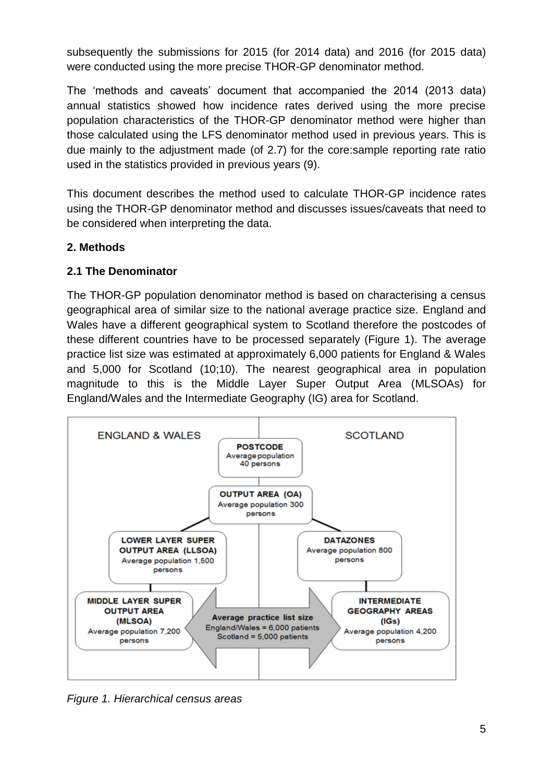subsequently the submissions for 2015 (for 2014 data) and 2016 (for 2015 data) were conducted using the more precise THOR-GP denominator method.

The 'methods and caveats' document that accompanied the 2014 (2013 data) annual statistics showed how incidence rates derived using the more precise population characteristics of the THOR-GP denominator method were higher than those calculated using the LFS denominator method used in previous years. This is due mainly to the adjustment made (of 2.7) for the core:sample reporting rate ratio used in the statistics provided in previous years (9).

This document describes the method used to calculate THOR-GP incidence rates using the THOR-GP denominator method and discusses issues/caveats that need to be considered when interpreting the data.

# **2. Methods**

# **2.1 The Denominator**

The THOR-GP population denominator method is based on characterising a census geographical area of similar size to the national average practice size. England and Wales have a different geographical system to Scotland therefore the postcodes of these different countries have to be processed separately (Figure 1). The average practice list size was estimated at approximately 6,000 patients for England & Wales and 5,000 for Scotland (10;10). The nearest geographical area in population magnitude to this is the Middle Layer Super Output Area (MLSOAs) for England/Wales and the Intermediate Geography (IG) area for Scotland.



*Figure 1. Hierarchical census areas*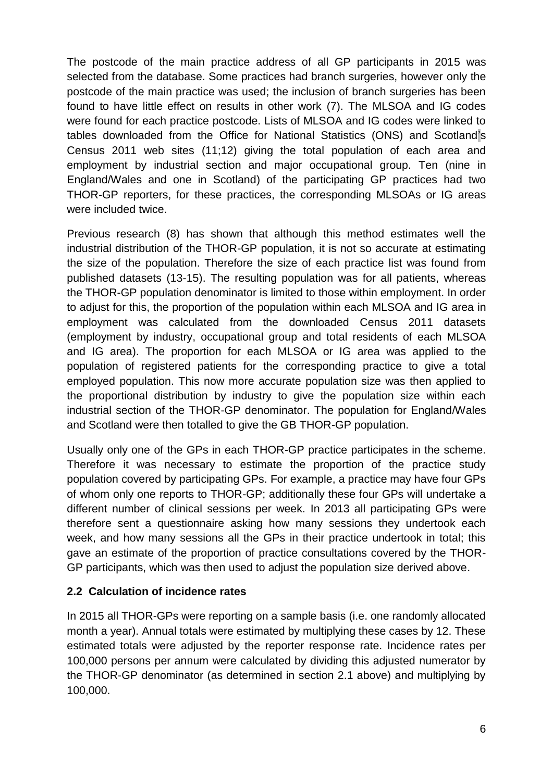The postcode of the main practice address of all GP participants in 2015 was selected from the database. Some practices had branch surgeries, however only the postcode of the main practice was used; the inclusion of branch surgeries has been found to have little effect on results in other work (7). The MLSOA and IG codes were found for each practice postcode. Lists of MLSOA and IG codes were linked to tables downloaded from the Office for National Statistics (ONS) and Scotland's Census 2011 web sites (11;12) giving the total population of each area and employment by industrial section and major occupational group. Ten (nine in England/Wales and one in Scotland) of the participating GP practices had two THOR-GP reporters, for these practices, the corresponding MLSOAs or IG areas were included twice.

Previous research (8) has shown that although this method estimates well the industrial distribution of the THOR-GP population, it is not so accurate at estimating the size of the population. Therefore the size of each practice list was found from published datasets (13-15). The resulting population was for all patients, whereas the THOR-GP population denominator is limited to those within employment. In order to adjust for this, the proportion of the population within each MLSOA and IG area in employment was calculated from the downloaded Census 2011 datasets (employment by industry, occupational group and total residents of each MLSOA and IG area). The proportion for each MLSOA or IG area was applied to the population of registered patients for the corresponding practice to give a total employed population. This now more accurate population size was then applied to the proportional distribution by industry to give the population size within each industrial section of the THOR-GP denominator. The population for England/Wales and Scotland were then totalled to give the GB THOR-GP population.

Usually only one of the GPs in each THOR-GP practice participates in the scheme. Therefore it was necessary to estimate the proportion of the practice study population covered by participating GPs. For example, a practice may have four GPs of whom only one reports to THOR-GP; additionally these four GPs will undertake a different number of clinical sessions per week. In 2013 all participating GPs were therefore sent a questionnaire asking how many sessions they undertook each week, and how many sessions all the GPs in their practice undertook in total; this gave an estimate of the proportion of practice consultations covered by the THOR-GP participants, which was then used to adjust the population size derived above.

### **2.2 Calculation of incidence rates**

In 2015 all THOR-GPs were reporting on a sample basis (i.e. one randomly allocated month a year). Annual totals were estimated by multiplying these cases by 12. These estimated totals were adjusted by the reporter response rate. Incidence rates per 100,000 persons per annum were calculated by dividing this adjusted numerator by the THOR-GP denominator (as determined in section 2.1 above) and multiplying by 100,000.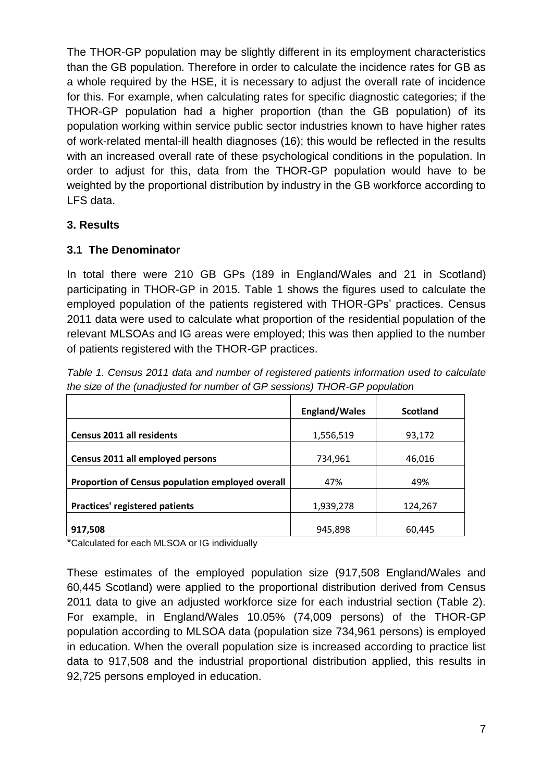The THOR-GP population may be slightly different in its employment characteristics than the GB population. Therefore in order to calculate the incidence rates for GB as a whole required by the HSE, it is necessary to adjust the overall rate of incidence for this. For example, when calculating rates for specific diagnostic categories; if the THOR-GP population had a higher proportion (than the GB population) of its population working within service public sector industries known to have higher rates of work-related mental-ill health diagnoses (16); this would be reflected in the results with an increased overall rate of these psychological conditions in the population. In order to adjust for this, data from the THOR-GP population would have to be weighted by the proportional distribution by industry in the GB workforce according to LFS data.

# **3. Results**

# **3.1 The Denominator**

In total there were 210 GB GPs (189 in England/Wales and 21 in Scotland) participating in THOR-GP in 2015. Table 1 shows the figures used to calculate the employed population of the patients registered with THOR-GPs' practices. Census 2011 data were used to calculate what proportion of the residential population of the relevant MLSOAs and IG areas were employed; this was then applied to the number of patients registered with the THOR-GP practices.

|                                                  | <b>England/Wales</b> | <b>Scotland</b> |
|--------------------------------------------------|----------------------|-----------------|
|                                                  |                      |                 |
| <b>Census 2011 all residents</b>                 | 1,556,519            | 93,172          |
| Census 2011 all employed persons                 | 734,961              | 46,016          |
| Proportion of Census population employed overall | 47%                  | 49%             |
| <b>Practices' registered patients</b>            | 1,939,278            | 124,267         |
| 917,508                                          | 945,898              | 60,445          |

*Table 1. Census 2011 data and number of registered patients information used to calculate the size of the (unadjusted for number of GP sessions) THOR-GP population*

\*Calculated for each MLSOA or IG individually

These estimates of the employed population size (917,508 England/Wales and 60,445 Scotland) were applied to the proportional distribution derived from Census 2011 data to give an adjusted workforce size for each industrial section (Table 2). For example, in England/Wales 10.05% (74,009 persons) of the THOR-GP population according to MLSOA data (population size 734,961 persons) is employed in education. When the overall population size is increased according to practice list data to 917,508 and the industrial proportional distribution applied, this results in 92,725 persons employed in education.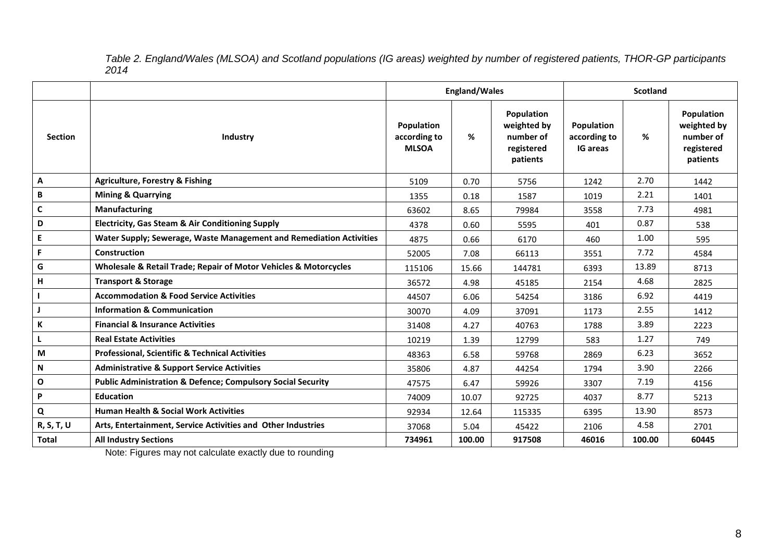*Table 2. England/Wales (MLSOA) and Scotland populations (IG areas) weighted by number of registered patients, THOR-GP participants 2014*

|                |                                                                        | <b>England/Wales</b>                       |        |                                                                  | <b>Scotland</b>                               |        |                                                                  |  |
|----------------|------------------------------------------------------------------------|--------------------------------------------|--------|------------------------------------------------------------------|-----------------------------------------------|--------|------------------------------------------------------------------|--|
| <b>Section</b> | Industry                                                               | Population<br>according to<br><b>MLSOA</b> | %      | Population<br>weighted by<br>number of<br>registered<br>patients | Population<br>according to<br><b>IG areas</b> | %      | Population<br>weighted by<br>number of<br>registered<br>patients |  |
| Α              | <b>Agriculture, Forestry &amp; Fishing</b>                             | 5109                                       | 0.70   | 5756                                                             | 1242                                          | 2.70   | 1442                                                             |  |
| $\, {\bf B}$   | <b>Mining &amp; Quarrying</b>                                          | 1355                                       | 0.18   | 1587                                                             | 1019                                          | 2.21   | 1401                                                             |  |
| $\mathsf{C}$   | <b>Manufacturing</b>                                                   | 63602                                      | 8.65   | 79984                                                            | 3558                                          | 7.73   | 4981                                                             |  |
| D              | <b>Electricity, Gas Steam &amp; Air Conditioning Supply</b>            | 4378                                       | 0.60   | 5595                                                             | 401                                           | 0.87   | 538                                                              |  |
| E              | Water Supply; Sewerage, Waste Management and Remediation Activities    | 4875                                       | 0.66   | 6170                                                             | 460                                           | 1.00   | 595                                                              |  |
| F              | Construction                                                           | 52005                                      | 7.08   | 66113                                                            | 3551                                          | 7.72   | 4584                                                             |  |
| G              | Wholesale & Retail Trade; Repair of Motor Vehicles & Motorcycles       | 115106                                     | 15.66  | 144781                                                           | 6393                                          | 13.89  | 8713                                                             |  |
| H              | <b>Transport &amp; Storage</b>                                         | 36572                                      | 4.98   | 45185                                                            | 2154                                          | 4.68   | 2825                                                             |  |
|                | <b>Accommodation &amp; Food Service Activities</b>                     | 44507                                      | 6.06   | 54254                                                            | 3186                                          | 6.92   | 4419                                                             |  |
|                | <b>Information &amp; Communication</b>                                 | 30070                                      | 4.09   | 37091                                                            | 1173                                          | 2.55   | 1412                                                             |  |
| K              | <b>Financial &amp; Insurance Activities</b>                            | 31408                                      | 4.27   | 40763                                                            | 1788                                          | 3.89   | 2223                                                             |  |
| L              | <b>Real Estate Activities</b>                                          | 10219                                      | 1.39   | 12799                                                            | 583                                           | 1.27   | 749                                                              |  |
| M              | <b>Professional, Scientific &amp; Technical Activities</b>             | 48363                                      | 6.58   | 59768                                                            | 2869                                          | 6.23   | 3652                                                             |  |
| N              | <b>Administrative &amp; Support Service Activities</b>                 | 35806                                      | 4.87   | 44254                                                            | 1794                                          | 3.90   | 2266                                                             |  |
| $\mathbf O$    | <b>Public Administration &amp; Defence; Compulsory Social Security</b> | 47575                                      | 6.47   | 59926                                                            | 3307                                          | 7.19   | 4156                                                             |  |
| P              | <b>Education</b>                                                       | 74009                                      | 10.07  | 92725                                                            | 4037                                          | 8.77   | 5213                                                             |  |
| Q              | <b>Human Health &amp; Social Work Activities</b>                       | 92934                                      | 12.64  | 115335                                                           | 6395                                          | 13.90  | 8573                                                             |  |
| R, S, T, U     | Arts, Entertainment, Service Activities and Other Industries           | 37068                                      | 5.04   | 45422                                                            | 2106                                          | 4.58   | 2701                                                             |  |
| <b>Total</b>   | <b>All Industry Sections</b>                                           | 734961                                     | 100.00 | 917508                                                           | 46016                                         | 100.00 | 60445                                                            |  |

Note: Figures may not calculate exactly due to rounding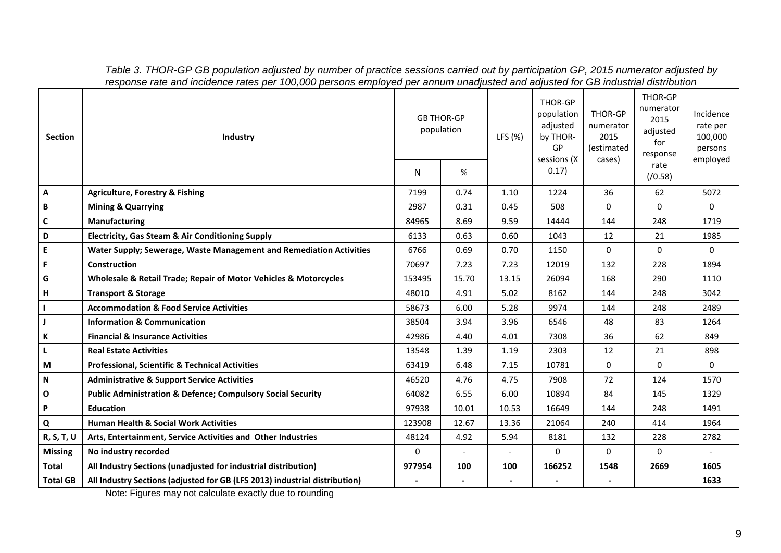| <b>Section</b>  | Industry                                                                   | <b>GB THOR-GP</b><br>population<br>N | %                        | LFS (%) | THOR-GP<br>population<br>adjusted<br>by THOR-<br>GP<br>sessions (X<br>0.17) | <b>THOR-GP</b><br>numerator<br>2015<br>(estimated<br>cases) | <b>THOR-GP</b><br>numerator<br>2015<br>adjusted<br>for<br>response<br>rate<br>(70.58) | Incidence<br>rate per<br>100,000<br>persons<br>employed |
|-----------------|----------------------------------------------------------------------------|--------------------------------------|--------------------------|---------|-----------------------------------------------------------------------------|-------------------------------------------------------------|---------------------------------------------------------------------------------------|---------------------------------------------------------|
| A               | <b>Agriculture, Forestry &amp; Fishing</b>                                 | 7199                                 | 0.74                     | 1.10    | 1224                                                                        | 36                                                          | 62                                                                                    | 5072                                                    |
| В               | <b>Mining &amp; Quarrying</b>                                              | 2987                                 | 0.31                     | 0.45    | 508                                                                         | $\Omega$                                                    | $\mathbf 0$                                                                           | $\Omega$                                                |
| $\mathsf{C}$    | Manufacturing                                                              | 84965                                | 8.69                     | 9.59    | 14444                                                                       | 144                                                         | 248                                                                                   | 1719                                                    |
| D               | <b>Electricity, Gas Steam &amp; Air Conditioning Supply</b>                | 6133                                 | 0.63                     | 0.60    | 1043                                                                        | 12                                                          | 21                                                                                    | 1985                                                    |
| E.              | Water Supply; Sewerage, Waste Management and Remediation Activities        | 6766                                 | 0.69                     | 0.70    | 1150                                                                        | $\Omega$                                                    | 0                                                                                     | $\Omega$                                                |
| F.              | Construction                                                               | 70697                                | 7.23                     | 7.23    | 12019                                                                       | 132                                                         | 228                                                                                   | 1894                                                    |
| G               | Wholesale & Retail Trade; Repair of Motor Vehicles & Motorcycles           | 153495                               | 15.70                    | 13.15   | 26094                                                                       | 168                                                         | 290                                                                                   | 1110                                                    |
| н               | <b>Transport &amp; Storage</b>                                             | 48010                                | 4.91                     | 5.02    | 8162                                                                        | 144                                                         | 248                                                                                   | 3042                                                    |
|                 | <b>Accommodation &amp; Food Service Activities</b>                         | 58673                                | 6.00                     | 5.28    | 9974                                                                        | 144                                                         | 248                                                                                   | 2489                                                    |
| $\mathbf{J}$    | <b>Information &amp; Communication</b>                                     | 38504                                | 3.94                     | 3.96    | 6546                                                                        | 48                                                          | 83                                                                                    | 1264                                                    |
| К               | <b>Financial &amp; Insurance Activities</b>                                | 42986                                | 4.40                     | 4.01    | 7308                                                                        | 36                                                          | 62                                                                                    | 849                                                     |
| L               | <b>Real Estate Activities</b>                                              | 13548                                | 1.39                     | 1.19    | 2303                                                                        | 12                                                          | 21                                                                                    | 898                                                     |
| M               | <b>Professional, Scientific &amp; Technical Activities</b>                 | 63419                                | 6.48                     | 7.15    | 10781                                                                       | $\Omega$                                                    | $\mathbf 0$                                                                           | $\Omega$                                                |
| N               | <b>Administrative &amp; Support Service Activities</b>                     | 46520                                | 4.76                     | 4.75    | 7908                                                                        | 72                                                          | 124                                                                                   | 1570                                                    |
| $\mathbf O$     | <b>Public Administration &amp; Defence; Compulsory Social Security</b>     | 64082                                | 6.55                     | 6.00    | 10894                                                                       | 84                                                          | 145                                                                                   | 1329                                                    |
| P               | <b>Education</b>                                                           | 97938                                | 10.01                    | 10.53   | 16649                                                                       | 144                                                         | 248                                                                                   | 1491                                                    |
| Q               | <b>Human Health &amp; Social Work Activities</b>                           | 123908                               | 12.67                    | 13.36   | 21064                                                                       | 240                                                         | 414                                                                                   | 1964                                                    |
| R, S, T, U      | Arts, Entertainment, Service Activities and Other Industries               | 48124                                | 4.92                     | 5.94    | 8181                                                                        | 132                                                         | 228                                                                                   | 2782                                                    |
| <b>Missing</b>  | No industry recorded                                                       | $\Omega$                             | $\overline{\phantom{a}}$ |         | 0                                                                           | $\Omega$                                                    | $\Omega$                                                                              |                                                         |
| <b>Total</b>    | All Industry Sections (unadjusted for industrial distribution)             | 977954                               | 100                      | 100     | 166252                                                                      | 1548                                                        | 2669                                                                                  | 1605                                                    |
| <b>Total GB</b> | All Industry Sections (adjusted for GB (LFS 2013) industrial distribution) |                                      |                          |         |                                                                             |                                                             |                                                                                       | 1633                                                    |

*Table 3. THOR-GP GB population adjusted by number of practice sessions carried out by participation GP, 2015 numerator adjusted by response rate and incidence rates per 100,000 persons employed per annum unadjusted and adjusted for GB industrial distribution*

Note: Figures may not calculate exactly due to rounding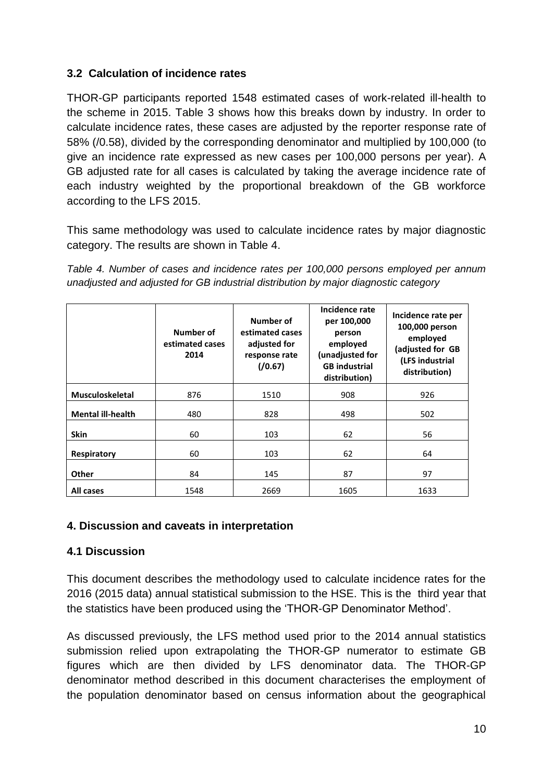### **3.2 Calculation of incidence rates**

THOR-GP participants reported 1548 estimated cases of work-related ill-health to the scheme in 2015. Table 3 shows how this breaks down by industry. In order to calculate incidence rates, these cases are adjusted by the reporter response rate of 58% (/0.58), divided by the corresponding denominator and multiplied by 100,000 (to give an incidence rate expressed as new cases per 100,000 persons per year). A GB adjusted rate for all cases is calculated by taking the average incidence rate of each industry weighted by the proportional breakdown of the GB workforce according to the LFS 2015.

This same methodology was used to calculate incidence rates by major diagnostic category. The results are shown in Table 4.

*Table 4. Number of cases and incidence rates per 100,000 persons employed per annum unadjusted and adjusted for GB industrial distribution by major diagnostic category*

|                          | Number of<br>estimated cases<br>2014 | Number of<br>estimated cases<br>adjusted for<br>response rate<br>(70.67) | Incidence rate<br>per 100,000<br>person<br>employed<br>(unadjusted for<br><b>GB</b> industrial<br>distribution) | Incidence rate per<br>100,000 person<br>employed<br>(adjusted for GB<br>(LFS industrial<br>distribution) |
|--------------------------|--------------------------------------|--------------------------------------------------------------------------|-----------------------------------------------------------------------------------------------------------------|----------------------------------------------------------------------------------------------------------|
| <b>Musculoskeletal</b>   | 876                                  | 1510                                                                     | 908                                                                                                             | 926                                                                                                      |
| <b>Mental ill-health</b> | 480                                  | 828                                                                      | 498                                                                                                             | 502                                                                                                      |
| <b>Skin</b>              | 60                                   | 103                                                                      | 62                                                                                                              | 56                                                                                                       |
| Respiratory              | 60                                   | 103                                                                      | 62                                                                                                              | 64                                                                                                       |
| <b>Other</b>             | 84                                   | 145                                                                      | 87                                                                                                              | 97                                                                                                       |
| All cases                | 1548                                 | 2669                                                                     | 1605                                                                                                            | 1633                                                                                                     |

### **4. Discussion and caveats in interpretation**

### **4.1 Discussion**

This document describes the methodology used to calculate incidence rates for the 2016 (2015 data) annual statistical submission to the HSE. This is the third year that the statistics have been produced using the 'THOR-GP Denominator Method'.

As discussed previously, the LFS method used prior to the 2014 annual statistics submission relied upon extrapolating the THOR-GP numerator to estimate GB figures which are then divided by LFS denominator data. The THOR-GP denominator method described in this document characterises the employment of the population denominator based on census information about the geographical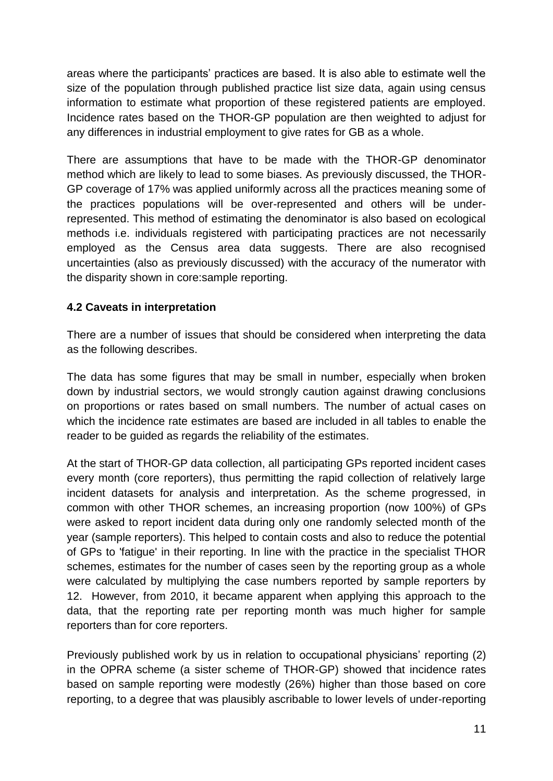areas where the participants' practices are based. It is also able to estimate well the size of the population through published practice list size data, again using census information to estimate what proportion of these registered patients are employed. Incidence rates based on the THOR-GP population are then weighted to adjust for any differences in industrial employment to give rates for GB as a whole.

There are assumptions that have to be made with the THOR-GP denominator method which are likely to lead to some biases. As previously discussed, the THOR-GP coverage of 17% was applied uniformly across all the practices meaning some of the practices populations will be over-represented and others will be underrepresented. This method of estimating the denominator is also based on ecological methods i.e. individuals registered with participating practices are not necessarily employed as the Census area data suggests. There are also recognised uncertainties (also as previously discussed) with the accuracy of the numerator with the disparity shown in core:sample reporting.

# **4.2 Caveats in interpretation**

There are a number of issues that should be considered when interpreting the data as the following describes.

The data has some figures that may be small in number, especially when broken down by industrial sectors, we would strongly caution against drawing conclusions on proportions or rates based on small numbers. The number of actual cases on which the incidence rate estimates are based are included in all tables to enable the reader to be guided as regards the reliability of the estimates.

At the start of THOR-GP data collection, all participating GPs reported incident cases every month (core reporters), thus permitting the rapid collection of relatively large incident datasets for analysis and interpretation. As the scheme progressed, in common with other THOR schemes, an increasing proportion (now 100%) of GPs were asked to report incident data during only one randomly selected month of the year (sample reporters). This helped to contain costs and also to reduce the potential of GPs to 'fatigue' in their reporting. In line with the practice in the specialist THOR schemes, estimates for the number of cases seen by the reporting group as a whole were calculated by multiplying the case numbers reported by sample reporters by 12. However, from 2010, it became apparent when applying this approach to the data, that the reporting rate per reporting month was much higher for sample reporters than for core reporters.

Previously published work by us in relation to occupational physicians' reporting (2) in the OPRA scheme (a sister scheme of THOR-GP) showed that incidence rates based on sample reporting were modestly (26%) higher than those based on core reporting, to a degree that was plausibly ascribable to lower levels of under-reporting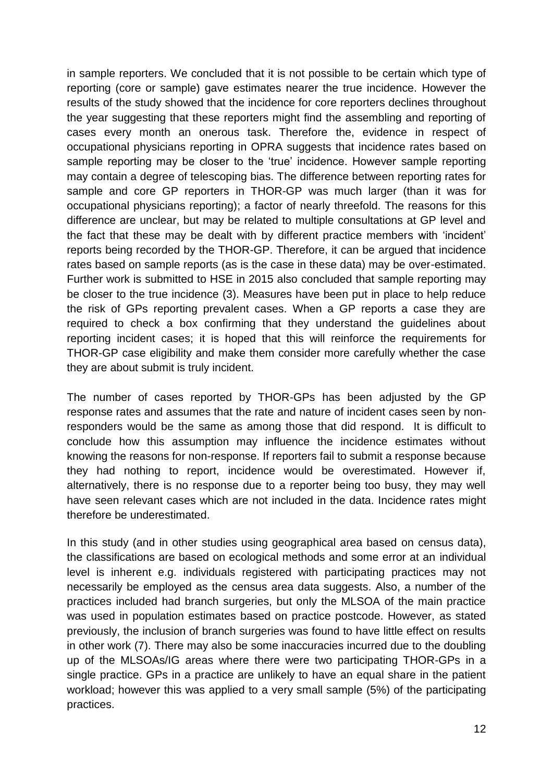in sample reporters. We concluded that it is not possible to be certain which type of reporting (core or sample) gave estimates nearer the true incidence. However the results of the study showed that the incidence for core reporters declines throughout the year suggesting that these reporters might find the assembling and reporting of cases every month an onerous task. Therefore the, evidence in respect of occupational physicians reporting in OPRA suggests that incidence rates based on sample reporting may be closer to the 'true' incidence. However sample reporting may contain a degree of telescoping bias. The difference between reporting rates for sample and core GP reporters in THOR-GP was much larger (than it was for occupational physicians reporting); a factor of nearly threefold. The reasons for this difference are unclear, but may be related to multiple consultations at GP level and the fact that these may be dealt with by different practice members with 'incident' reports being recorded by the THOR-GP. Therefore, it can be argued that incidence rates based on sample reports (as is the case in these data) may be over-estimated. Further work is submitted to HSE in 2015 also concluded that sample reporting may be closer to the true incidence (3). Measures have been put in place to help reduce the risk of GPs reporting prevalent cases. When a GP reports a case they are required to check a box confirming that they understand the guidelines about reporting incident cases; it is hoped that this will reinforce the requirements for THOR-GP case eligibility and make them consider more carefully whether the case they are about submit is truly incident.

The number of cases reported by THOR-GPs has been adjusted by the GP response rates and assumes that the rate and nature of incident cases seen by nonresponders would be the same as among those that did respond. It is difficult to conclude how this assumption may influence the incidence estimates without knowing the reasons for non-response. If reporters fail to submit a response because they had nothing to report, incidence would be overestimated. However if, alternatively, there is no response due to a reporter being too busy, they may well have seen relevant cases which are not included in the data. Incidence rates might therefore be underestimated.

In this study (and in other studies using geographical area based on census data), the classifications are based on ecological methods and some error at an individual level is inherent e.g. individuals registered with participating practices may not necessarily be employed as the census area data suggests. Also, a number of the practices included had branch surgeries, but only the MLSOA of the main practice was used in population estimates based on practice postcode. However, as stated previously, the inclusion of branch surgeries was found to have little effect on results in other work (7). There may also be some inaccuracies incurred due to the doubling up of the MLSOAs/IG areas where there were two participating THOR-GPs in a single practice. GPs in a practice are unlikely to have an equal share in the patient workload; however this was applied to a very small sample (5%) of the participating practices.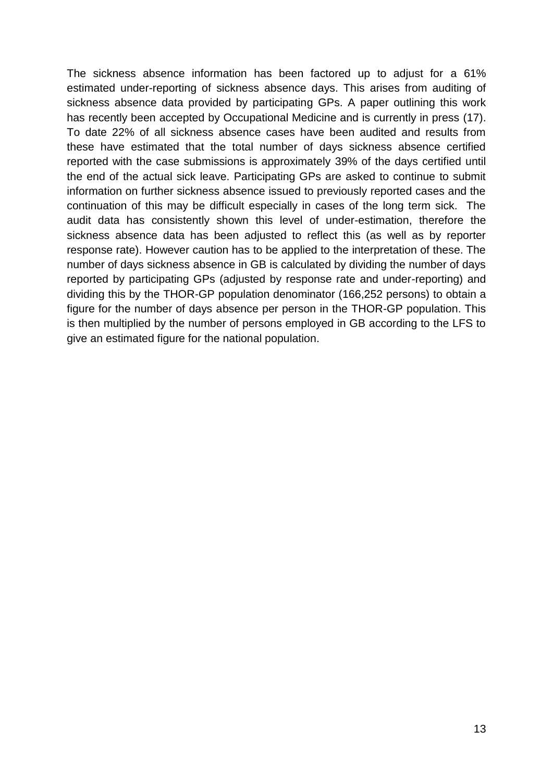The sickness absence information has been factored up to adjust for a 61% estimated under-reporting of sickness absence days. This arises from auditing of sickness absence data provided by participating GPs. A paper outlining this work has recently been accepted by Occupational Medicine and is currently in press (17). To date 22% of all sickness absence cases have been audited and results from these have estimated that the total number of days sickness absence certified reported with the case submissions is approximately 39% of the days certified until the end of the actual sick leave. Participating GPs are asked to continue to submit information on further sickness absence issued to previously reported cases and the continuation of this may be difficult especially in cases of the long term sick. The audit data has consistently shown this level of under-estimation, therefore the sickness absence data has been adjusted to reflect this (as well as by reporter response rate). However caution has to be applied to the interpretation of these. The number of days sickness absence in GB is calculated by dividing the number of days reported by participating GPs (adjusted by response rate and under-reporting) and dividing this by the THOR-GP population denominator (166,252 persons) to obtain a figure for the number of days absence per person in the THOR-GP population. This is then multiplied by the number of persons employed in GB according to the LFS to give an estimated figure for the national population.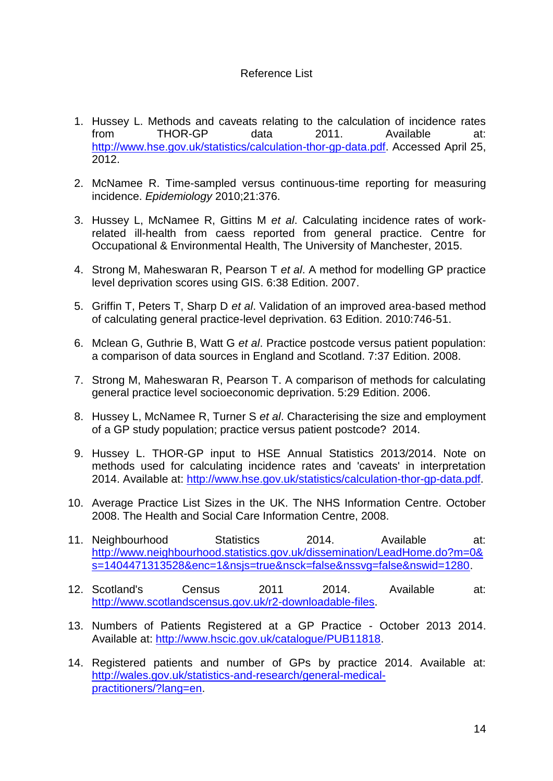#### Reference List

- 1. Hussey L. Methods and caveats relating to the calculation of incidence rates from THOR-GP data 2011. Available at: [http://www.hse.gov.uk/statistics/calculation-thor-gp-data.pdf.](http://www.hse.gov.uk/statistics/calculation-thor-gp-data.pdf) Accessed April 25, 2012.
- 2. McNamee R. Time-sampled versus continuous-time reporting for measuring incidence. *Epidemiology* 2010;21:376.
- 3. Hussey L, McNamee R, Gittins M *et al*. Calculating incidence rates of workrelated ill-health from caess reported from general practice. Centre for Occupational & Environmental Health, The University of Manchester, 2015.
- 4. Strong M, Maheswaran R, Pearson T *et al*. A method for modelling GP practice level deprivation scores using GIS. 6:38 Edition. 2007.
- 5. Griffin T, Peters T, Sharp D *et al*. Validation of an improved area-based method of calculating general practice-level deprivation. 63 Edition. 2010:746-51.
- 6. Mclean G, Guthrie B, Watt G *et al*. Practice postcode versus patient population: a comparison of data sources in England and Scotland. 7:37 Edition. 2008.
- 7. Strong M, Maheswaran R, Pearson T. A comparison of methods for calculating general practice level socioeconomic deprivation. 5:29 Edition. 2006.
- 8. Hussey L, McNamee R, Turner S *et al*. Characterising the size and employment of a GP study population; practice versus patient postcode? 2014.
- 9. Hussey L. THOR-GP input to HSE Annual Statistics 2013/2014. Note on methods used for calculating incidence rates and 'caveats' in interpretation 2014. Available at: [http://www.hse.gov.uk/statistics/calculation-thor-gp-data.pdf.](http://www.hse.gov.uk/statistics/calculation-thor-gp-data.pdf)
- 10. Average Practice List Sizes in the UK. The NHS Information Centre. October 2008. The Health and Social Care Information Centre, 2008.
- 11. Neighbourhood Statistics 2014. Available at: [http://www.neighbourhood.statistics.gov.uk/dissemination/LeadHome.do?m=0&](http://www.neighbourhood.statistics.gov.uk/dissemination/LeadHome.do?m=0&s=1404471313528&enc=1&nsjs=true&nsck=false&nssvg=false&nswid=1280) [s=1404471313528&enc=1&nsjs=true&nsck=false&nssvg=false&nswid=1280.](http://www.neighbourhood.statistics.gov.uk/dissemination/LeadHome.do?m=0&s=1404471313528&enc=1&nsjs=true&nsck=false&nssvg=false&nswid=1280)
- 12. Scotland's Census 2011 2014. Available at: [http://www.scotlandscensus.gov.uk/r2-downloadable-files.](http://www.scotlandscensus.gov.uk/r2-downloadable-files)
- 13. Numbers of Patients Registered at a GP Practice October 2013 2014. Available at: [http://www.hscic.gov.uk/catalogue/PUB11818.](http://www.hscic.gov.uk/catalogue/PUB11818)
- 14. Registered patients and number of GPs by practice 2014. Available at: [http://wales.gov.uk/statistics-and-research/general-medical](http://wales.gov.uk/statistics-and-research/general-medical-practitioners/?lang=en)[practitioners/?lang=en.](http://wales.gov.uk/statistics-and-research/general-medical-practitioners/?lang=en)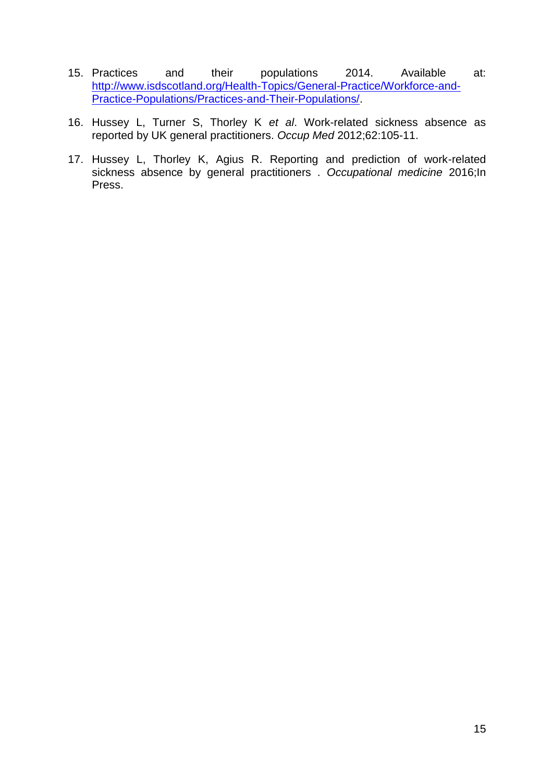- 15. Practices and their populations 2014. Available at: [http://www.isdscotland.org/Health-Topics/General-Practice/Workforce-and-](http://www.isdscotland.org/Health-Topics/General-Practice/Workforce-and-Practice-Populations/Practices-and-Their-Populations/)[Practice-Populations/Practices-and-Their-Populations/.](http://www.isdscotland.org/Health-Topics/General-Practice/Workforce-and-Practice-Populations/Practices-and-Their-Populations/)
- 16. Hussey L, Turner S, Thorley K *et al*. Work-related sickness absence as reported by UK general practitioners. *Occup Med* 2012;62:105-11.
- 17. Hussey L, Thorley K, Agius R. Reporting and prediction of work-related sickness absence by general practitioners . *Occupational medicine* 2016;In Press.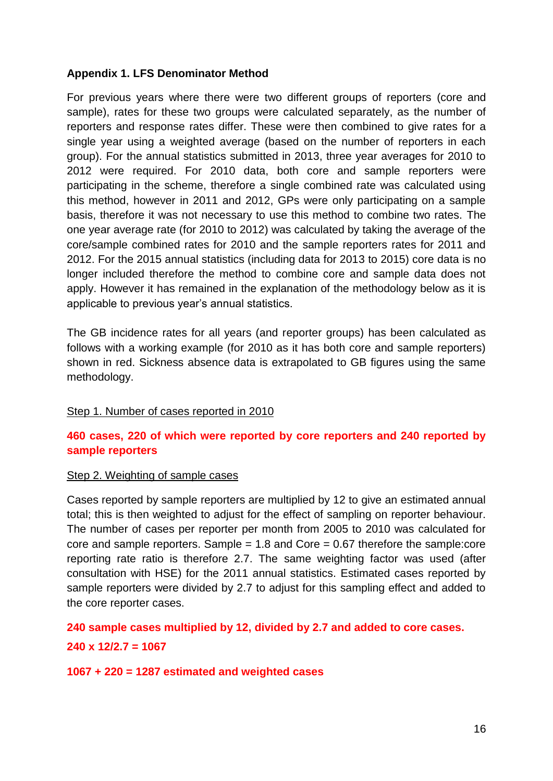### **Appendix 1. LFS Denominator Method**

For previous years where there were two different groups of reporters (core and sample), rates for these two groups were calculated separately, as the number of reporters and response rates differ. These were then combined to give rates for a single year using a weighted average (based on the number of reporters in each group). For the annual statistics submitted in 2013, three year averages for 2010 to 2012 were required. For 2010 data, both core and sample reporters were participating in the scheme, therefore a single combined rate was calculated using this method, however in 2011 and 2012, GPs were only participating on a sample basis, therefore it was not necessary to use this method to combine two rates. The one year average rate (for 2010 to 2012) was calculated by taking the average of the core/sample combined rates for 2010 and the sample reporters rates for 2011 and 2012. For the 2015 annual statistics (including data for 2013 to 2015) core data is no longer included therefore the method to combine core and sample data does not apply. However it has remained in the explanation of the methodology below as it is applicable to previous year's annual statistics.

The GB incidence rates for all years (and reporter groups) has been calculated as follows with a working example (for 2010 as it has both core and sample reporters) shown in red. Sickness absence data is extrapolated to GB figures using the same methodology.

#### Step 1. Number of cases reported in 2010

### **460 cases, 220 of which were reported by core reporters and 240 reported by sample reporters**

#### Step 2. Weighting of sample cases

Cases reported by sample reporters are multiplied by 12 to give an estimated annual total; this is then weighted to adjust for the effect of sampling on reporter behaviour. The number of cases per reporter per month from 2005 to 2010 was calculated for core and sample reporters. Sample  $= 1.8$  and Core  $= 0.67$  therefore the sample: core reporting rate ratio is therefore 2.7. The same weighting factor was used (after consultation with HSE) for the 2011 annual statistics. Estimated cases reported by sample reporters were divided by 2.7 to adjust for this sampling effect and added to the core reporter cases.

**240 sample cases multiplied by 12, divided by 2.7 and added to core cases.**

#### **240 x 12/2.7 = 1067**

#### **1067 + 220 = 1287 estimated and weighted cases**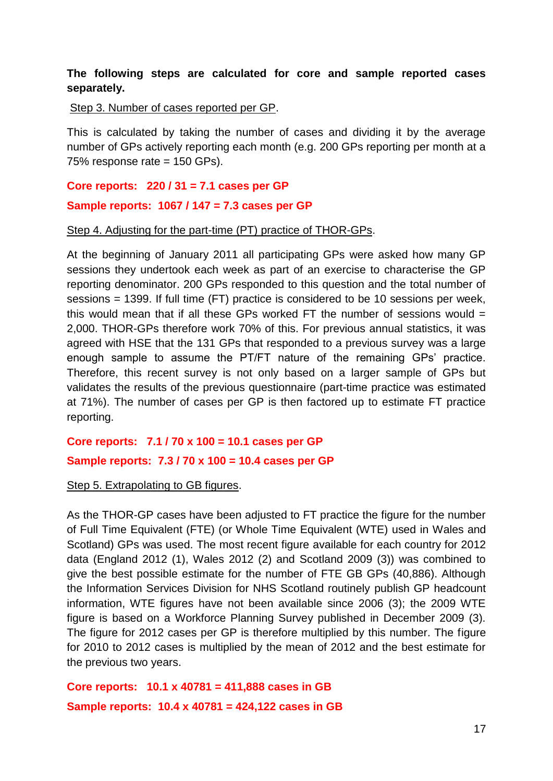### **The following steps are calculated for core and sample reported cases separately.**

Step 3. Number of cases reported per GP.

This is calculated by taking the number of cases and dividing it by the average number of GPs actively reporting each month (e.g. 200 GPs reporting per month at a 75% response rate = 150 GPs).

#### **Core reports: 220 / 31 = 7.1 cases per GP**

#### **Sample reports: 1067 / 147 = 7.3 cases per GP**

#### Step 4. Adjusting for the part-time (PT) practice of THOR-GPs.

At the beginning of January 2011 all participating GPs were asked how many GP sessions they undertook each week as part of an exercise to characterise the GP reporting denominator. 200 GPs responded to this question and the total number of sessions = 1399. If full time (FT) practice is considered to be 10 sessions per week, this would mean that if all these GPs worked FT the number of sessions would  $=$ 2,000. THOR-GPs therefore work 70% of this. For previous annual statistics, it was agreed with HSE that the 131 GPs that responded to a previous survey was a large enough sample to assume the PT/FT nature of the remaining GPs' practice. Therefore, this recent survey is not only based on a larger sample of GPs but validates the results of the previous questionnaire (part-time practice was estimated at 71%). The number of cases per GP is then factored up to estimate FT practice reporting.

# **Core reports: 7.1 / 70 x 100 = 10.1 cases per GP Sample reports: 7.3 / 70 x 100 = 10.4 cases per GP**

#### Step 5. Extrapolating to GB figures.

As the THOR-GP cases have been adjusted to FT practice the figure for the number of Full Time Equivalent (FTE) (or Whole Time Equivalent (WTE) used in Wales and Scotland) GPs was used. The most recent figure available for each country for 2012 data (England 2012 (1), Wales 2012 (2) and Scotland 2009 (3)) was combined to give the best possible estimate for the number of FTE GB GPs (40,886). Although the Information Services Division for NHS Scotland routinely publish GP headcount information, WTE figures have not been available since 2006 (3); the 2009 WTE figure is based on a Workforce Planning Survey published in December 2009 (3). The figure for 2012 cases per GP is therefore multiplied by this number. The figure for 2010 to 2012 cases is multiplied by the mean of 2012 and the best estimate for the previous two years.

**Core reports: 10.1 x 40781 = 411,888 cases in GB Sample reports: 10.4 x 40781 = 424,122 cases in GB**